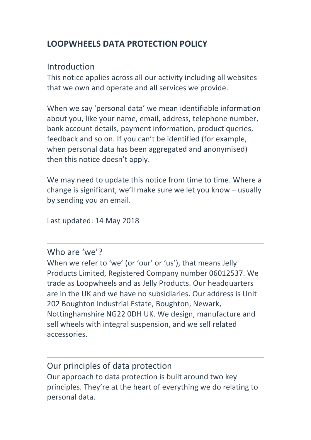# **LOOPWHEELS DATA PROTECTION POLICY**

## Introduction

This notice applies across all our activity including all websites that we own and operate and all services we provide.

When we say 'personal data' we mean identifiable information about you, like your name, email, address, telephone number, bank account details, payment information, product queries, feedback and so on. If you can't be identified (for example, when personal data has been aggregated and anonymised) then this notice doesn't apply.

We may need to update this notice from time to time. Where a change is significant, we'll make sure we let you know  $-$  usually by sending you an email.

Last updated: 14 May 2018

Who are 'we'?

When we refer to 'we' (or 'our' or 'us'), that means Jelly Products Limited, Registered Company number 06012537. We trade as Loopwheels and as Jelly Products. Our headquarters are in the UK and we have no subsidiaries. Our address is Unit 202 Boughton Industrial Estate, Boughton, Newark, Nottinghamshire NG22 ODH UK. We design, manufacture and sell wheels with integral suspension, and we sell related accessories. 

Our principles of data protection Our approach to data protection is built around two key principles. They're at the heart of everything we do relating to personal data.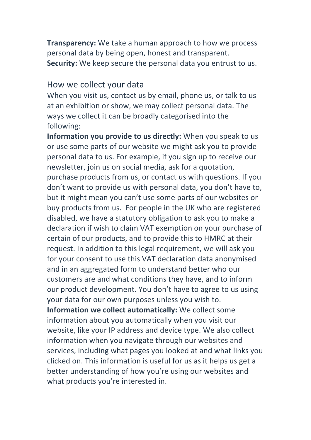**Transparency:** We take a human approach to how we process personal data by being open, honest and transparent. **Security:** We keep secure the personal data you entrust to us.

#### How we collect your data

When you visit us, contact us by email, phone us, or talk to us at an exhibition or show, we may collect personal data. The ways we collect it can be broadly categorised into the following:

**Information you provide to us directly:** When you speak to us or use some parts of our website we might ask you to provide personal data to us. For example, if you sign up to receive our newsletter, join us on social media, ask for a quotation, purchase products from us, or contact us with questions. If you don't want to provide us with personal data, you don't have to, but it might mean you can't use some parts of our websites or buy products from us. For people in the UK who are registered disabled, we have a statutory obligation to ask you to make a declaration if wish to claim VAT exemption on your purchase of certain of our products, and to provide this to HMRC at their request. In addition to this legal requirement, we will ask you for your consent to use this VAT declaration data anonymised and in an aggregated form to understand better who our customers are and what conditions they have, and to inform our product development. You don't have to agree to us using your data for our own purposes unless you wish to. **Information we collect automatically:** We collect some information about you automatically when you visit our website, like your IP address and device type. We also collect

information when you navigate through our websites and services, including what pages you looked at and what links you clicked on. This information is useful for us as it helps us get a better understanding of how you're using our websites and what products you're interested in.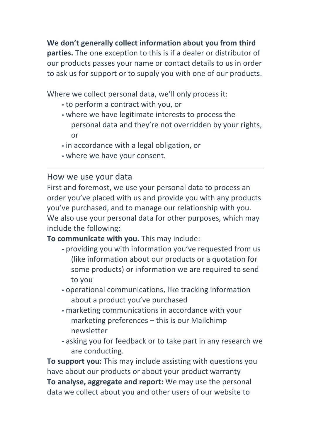We don't generally collect information about you from third **parties.** The one exception to this is if a dealer or distributor of our products passes your name or contact details to us in order to ask us for support or to supply you with one of our products.

Where we collect personal data, we'll only process it:

- to perform a contract with you, or
- where we have legitimate interests to process the personal data and they're not overridden by your rights, or
- $\cdot$  in accordance with a legal obligation, or
- where we have your consent.

## How we use your data

First and foremost, we use your personal data to process an order you've placed with us and provide you with any products you've purchased, and to manage our relationship with you. We also use your personal data for other purposes, which may include the following:

### **To communicate with you.** This may include:

- providing you with information you've requested from us (like information about our products or a quotation for some products) or information we are required to send to you
- $\cdot$  operational communications, like tracking information about a product you've purchased
- marketing communications in accordance with your marketing preferences  $-$  this is our Mailchimp newsletter
- asking you for feedback or to take part in any research we are conducting.

**To support you:** This may include assisting with questions you have about our products or about your product warranty **To analyse, aggregate and report:** We may use the personal data we collect about you and other users of our website to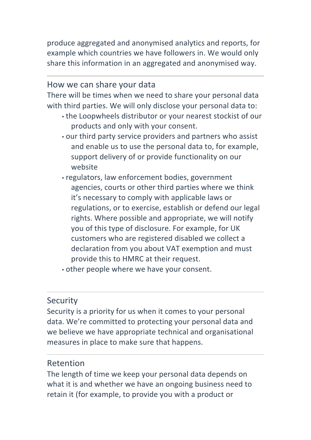produce aggregated and anonymised analytics and reports, for example which countries we have followers in. We would only share this information in an aggregated and anonymised way.

#### How we can share your data

There will be times when we need to share your personal data with third parties. We will only disclose your personal data to:

- the Loopwheels distributor or your nearest stockist of our products and only with your consent.
- our third party service providers and partners who assist and enable us to use the personal data to, for example, support delivery of or provide functionality on our website
- regulators, law enforcement bodies, government agencies, courts or other third parties where we think it's necessary to comply with applicable laws or regulations, or to exercise, establish or defend our legal rights. Where possible and appropriate, we will notify you of this type of disclosure. For example, for UK customers who are registered disabled we collect a declaration from you about VAT exemption and must provide this to HMRC at their request.
- other people where we have your consent.

### **Security**

Security is a priority for us when it comes to your personal data. We're committed to protecting your personal data and we believe we have appropriate technical and organisational measures in place to make sure that happens.

### Retention

The length of time we keep your personal data depends on what it is and whether we have an ongoing business need to retain it (for example, to provide you with a product or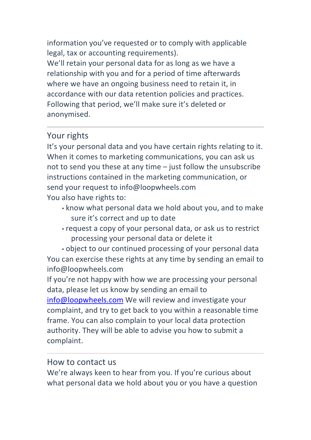information you've requested or to comply with applicable legal, tax or accounting requirements).

We'll retain your personal data for as long as we have a relationship with you and for a period of time afterwards where we have an ongoing business need to retain it, in accordance with our data retention policies and practices. Following that period, we'll make sure it's deleted or anonymised.

## Your rights

It's your personal data and you have certain rights relating to it. When it comes to marketing communications, you can ask us not to send you these at any time  $-$  just follow the unsubscribe instructions contained in the marketing communication, or send your request to info@loopwheels.com You also have rights to:

- know what personal data we hold about you, and to make sure it's correct and up to date
- request a copy of your personal data, or ask us to restrict processing your personal data or delete it

• object to our continued processing of your personal data You can exercise these rights at any time by sending an email to info@loopwheels.com

If you're not happy with how we are processing your personal data, please let us know by sending an email to

 $info@loopwheels.com$  We will review and investigate your complaint, and try to get back to you within a reasonable time frame. You can also complain to your local data protection authority. They will be able to advise you how to submit a complaint.

### How to contact us

We're always keen to hear from you. If you're curious about what personal data we hold about you or you have a question